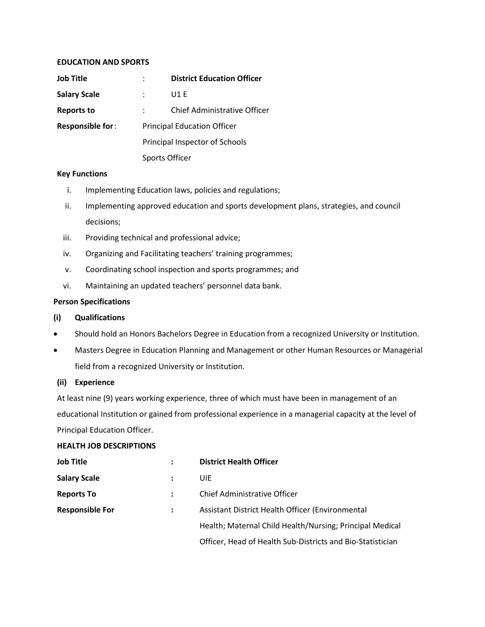### **EDUCATION AND SPORTS**

| Job Title               |                                    | <b>District Education Officer</b> |
|-------------------------|------------------------------------|-----------------------------------|
| <b>Salary Scale</b>     |                                    | U1 E                              |
| <b>Reports to</b>       |                                    | Chief Administrative Officer      |
| <b>Responsible for:</b> | <b>Principal Education Officer</b> |                                   |
|                         | Principal Inspector of Schools     |                                   |
|                         | Sports Officer                     |                                   |

# **Key Functions**

- i. Implementing Education laws, policies and regulations;
- ii. Implementing approved education and sports development plans, strategies, and council decisions;
- iii. Providing technical and professional advice;
- iv. Organizing and Facilitating teachers' training programmes;
- v. Coordinating school inspection and sports programmes; and
- vi. Maintaining an updated teachers' personnel data bank.

# **Person Specifications**

# **(i) Qualifications**

- Should hold an Honors Bachelors Degree in Education from a recognized University or Institution.
- Masters Degree in Education Planning and Management or other Human Resources or Managerial field from a recognized University or Institution.

# **(ii) Experience**

At least nine (9) years working experience, three of which must have been in management of an educational Institution or gained from professional experience in a managerial capacity at the level of Principal Education Officer.

# **HEALTH JOB DESCRIPTIONS**

| <b>Job Title</b>       | ٠ | <b>District Health Officer</b>                             |
|------------------------|---|------------------------------------------------------------|
| <b>Salary Scale</b>    |   | UIE                                                        |
| <b>Reports To</b>      |   | Chief Administrative Officer                               |
| <b>Responsible For</b> |   | Assistant District Health Officer (Environmental           |
|                        |   | Health; Maternal Child Health/Nursing; Principal Medical   |
|                        |   | Officer, Head of Health Sub-Districts and Bio-Statistician |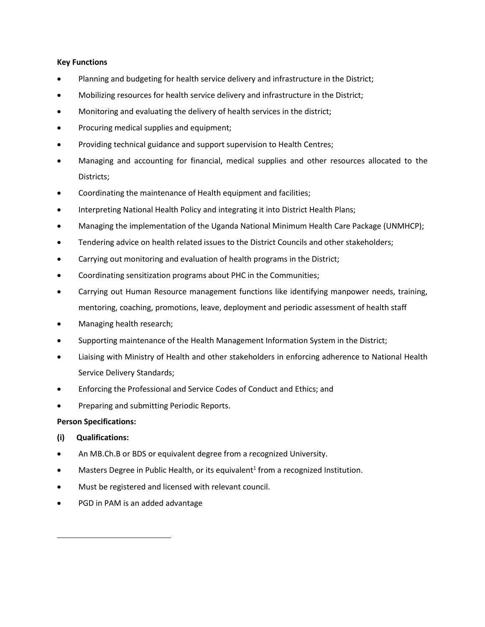## **Key Functions**

- Planning and budgeting for health service delivery and infrastructure in the District;
- Mobilizing resources for health service delivery and infrastructure in the District;
- Monitoring and evaluating the delivery of health services in the district;
- Procuring medical supplies and equipment;
- Providing technical guidance and support supervision to Health Centres;
- Managing and accounting for financial, medical supplies and other resources allocated to the Districts;
- Coordinating the maintenance of Health equipment and facilities;
- Interpreting National Health Policy and integrating it into District Health Plans;
- Managing the implementation of the Uganda National Minimum Health Care Package (UNMHCP);
- **•** Tendering advice on health related issues to the District Councils and other stakeholders;
- Carrying out monitoring and evaluation of health programs in the District;
- Coordinating sensitization programs about PHC in the Communities;
- Carrying out Human Resource management functions like identifying manpower needs, training, mentoring, coaching, promotions, leave, deployment and periodic assessment of health staff
- Managing health research;
- Supporting maintenance of the Health Management Information System in the District;
- Liaising with Ministry of Health and other stakeholders in enforcing adherence to National Health Service Delivery Standards;
- Enforcing the Professional and Service Codes of Conduct and Ethics; and
- **•** Preparing and submitting Periodic Reports.

# **Person Specifications:**

# **(i) Qualifications:**

 $\overline{\phantom{a}}$ 

- An MB.Ch.B or BDS or equivalent degree from a recognized University.
- $\bullet$  Masters Degree in Public Health, or its equivalent<sup>1</sup> from a recognized Institution.
- Must be registered and licensed with relevant council.
- PGD in PAM is an added advantage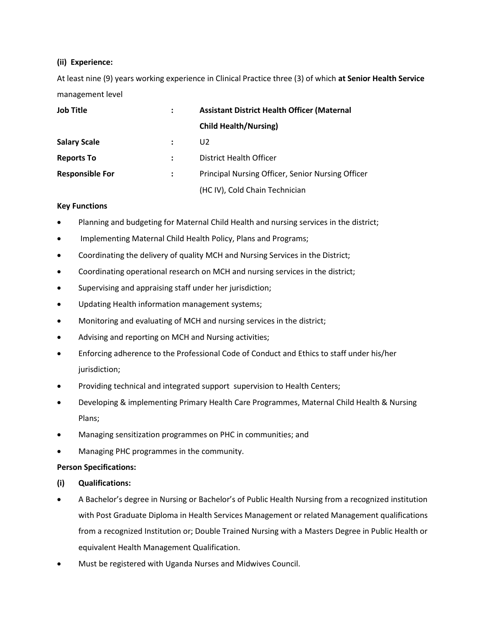# **(ii) Experience:**

At least nine (9) years working experience in Clinical Practice three (3) of which **at Senior Health Service** management level

| <b>Job Title</b>       | <b>Assistant District Health Officer (Maternal</b> |
|------------------------|----------------------------------------------------|
|                        | <b>Child Health/Nursing)</b>                       |
| <b>Salary Scale</b>    | U <sub>2</sub>                                     |
| <b>Reports To</b>      | District Health Officer                            |
| <b>Responsible For</b> | Principal Nursing Officer, Senior Nursing Officer  |
|                        | (HC IV), Cold Chain Technician                     |

# **Key Functions**

- Planning and budgeting for Maternal Child Health and nursing services in the district;
- Implementing Maternal Child Health Policy, Plans and Programs;
- Coordinating the delivery of quality MCH and Nursing Services in the District;
- Coordinating operational research on MCH and nursing services in the district;
- Supervising and appraising staff under her jurisdiction;
- Updating Health information management systems;
- Monitoring and evaluating of MCH and nursing services in the district;
- Advising and reporting on MCH and Nursing activities;
- Enforcing adherence to the Professional Code of Conduct and Ethics to staff under his/her jurisdiction;
- Providing technical and integrated support supervision to Health Centers;
- Developing & implementing Primary Health Care Programmes, Maternal Child Health & Nursing Plans;
- Managing sensitization programmes on PHC in communities; and
- Managing PHC programmes in the community.

# **Person Specifications:**

- **(i) Qualifications:**
- A Bachelor's degree in Nursing or Bachelor's of Public Health Nursing from a recognized institution with Post Graduate Diploma in Health Services Management or related Management qualifications from a recognized Institution or; Double Trained Nursing with a Masters Degree in Public Health or equivalent Health Management Qualification.
- Must be registered with Uganda Nurses and Midwives Council.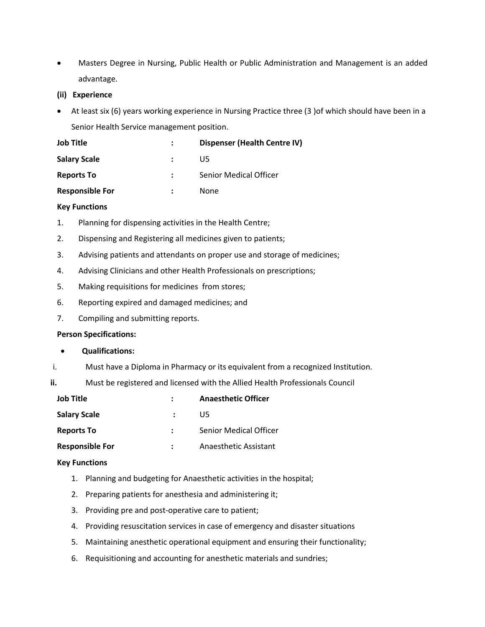- Masters Degree in Nursing, Public Health or Public Administration and Management is an added advantage.
- **(ii) Experience**
- At least six (6) years working experience in Nursing Practice three (3 )of which should have been in a Senior Health Service management position.

| <b>Job Title</b>       | <b>Dispenser (Health Centre IV)</b> |
|------------------------|-------------------------------------|
| <b>Salary Scale</b>    | U5.                                 |
| <b>Reports To</b>      | <b>Senior Medical Officer</b>       |
| <b>Responsible For</b> | <b>None</b>                         |

## **Key Functions**

- 1. Planning for dispensing activities in the Health Centre;
- 2. Dispensing and Registering all medicines given to patients;
- 3. Advising patients and attendants on proper use and storage of medicines;
- 4. Advising Clinicians and other Health Professionals on prescriptions;
- 5. Making requisitions for medicines from stores;
- 6. Reporting expired and damaged medicines; and
- 7. Compiling and submitting reports.

### **Person Specifications:**

- **Qualifications:**
- i. Must have a Diploma in Pharmacy or its equivalent from a recognized Institution.

**ii.** Must be registered and licensed with the Allied Health Professionals Council

| <b>Job Title</b>       | <b>Anaesthetic Officer</b>    |
|------------------------|-------------------------------|
| <b>Salary Scale</b>    | U5.                           |
| <b>Reports To</b>      | <b>Senior Medical Officer</b> |
| <b>Responsible For</b> | Anaesthetic Assistant         |

- 1. Planning and budgeting for Anaesthetic activities in the hospital;
- 2. Preparing patients for anesthesia and administering it;
- 3. Providing pre and post-operative care to patient;
- 4. Providing resuscitation services in case of emergency and disaster situations
- 5. Maintaining anesthetic operational equipment and ensuring their functionality;
- 6. Requisitioning and accounting for anesthetic materials and sundries;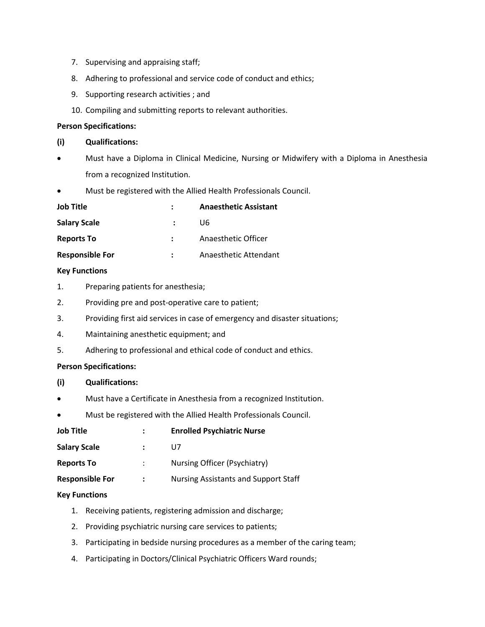- 7. Supervising and appraising staff;
- 8. Adhering to professional and service code of conduct and ethics;
- 9. Supporting research activities ; and
- 10. Compiling and submitting reports to relevant authorities.

# **Person Specifications:**

- **(i) Qualifications:**
- Must have a Diploma in Clinical Medicine, Nursing or Midwifery with a Diploma in Anesthesia from a recognized Institution.
- Must be registered with the Allied Health Professionals Council.

| <b>Job Title</b>       | <b>Anaesthetic Assistant</b> |
|------------------------|------------------------------|
| <b>Salary Scale</b>    | U6                           |
| <b>Reports To</b>      | Anaesthetic Officer          |
| <b>Responsible For</b> | Anaesthetic Attendant        |

# **Key Functions**

- 1. Preparing patients for anesthesia;
- 2. Providing pre and post-operative care to patient;
- 3. Providing first aid services in case of emergency and disaster situations;
- 4. Maintaining anesthetic equipment; and
- 5. Adhering to professional and ethical code of conduct and ethics.

# **Person Specifications:**

- **(i) Qualifications:**
- Must have a Certificate in Anesthesia from a recognized Institution.
- Must be registered with the Allied Health Professionals Council.

| <b>Job Title</b>       | <b>Enrolled Psychiatric Nurse</b>    |
|------------------------|--------------------------------------|
| <b>Salary Scale</b>    | U7                                   |
| <b>Reports To</b>      | Nursing Officer (Psychiatry)         |
| <b>Responsible For</b> | Nursing Assistants and Support Staff |

- 1. Receiving patients, registering admission and discharge;
- 2. Providing psychiatric nursing care services to patients;
- 3. Participating in bedside nursing procedures as a member of the caring team;
- 4. Participating in Doctors/Clinical Psychiatric Officers Ward rounds;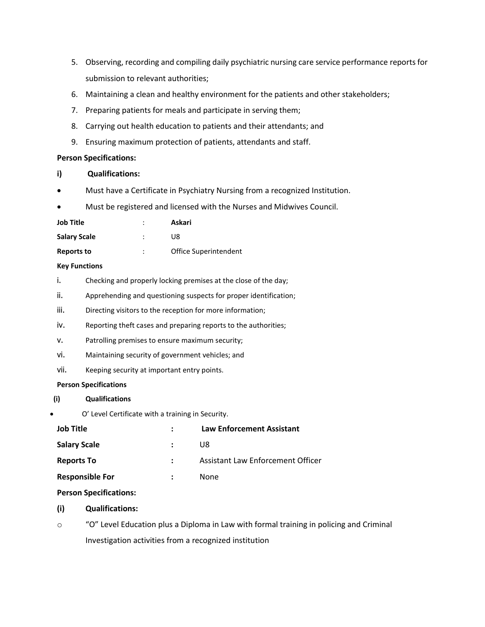- 5. Observing, recording and compiling daily psychiatric nursing care service performance reports for submission to relevant authorities;
- 6. Maintaining a clean and healthy environment for the patients and other stakeholders;
- 7. Preparing patients for meals and participate in serving them;
- 8. Carrying out health education to patients and their attendants; and
- 9. Ensuring maximum protection of patients, attendants and staff.

## **Person Specifications:**

- **i) Qualifications:**
- Must have a Certificate in Psychiatry Nursing from a recognized Institution.
- Must be registered and licensed with the Nurses and Midwives Council.

| Job Title           | Askari                |
|---------------------|-----------------------|
| <b>Salary Scale</b> | l 18                  |
| Reports to          | Office Superintendent |

## **Key Functions**

- i. Checking and properly locking premises at the close of the day;
- ii. Apprehending and questioning suspects for proper identification;
- iii. Directing visitors to the reception for more information;
- iv. Reporting theft cases and preparing reports to the authorities;
- v. Patrolling premises to ensure maximum security;
- vi. Maintaining security of government vehicles; and
- vii. Keeping security at important entry points.

### **Person Specifications**

- **(i) Qualifications**
- O' Level Certificate with a training in Security.

| <b>Job Title</b>       | <b>Law Enforcement Assistant</b>  |
|------------------------|-----------------------------------|
| <b>Salary Scale</b>    | U8                                |
| <b>Reports To</b>      | Assistant Law Enforcement Officer |
| <b>Responsible For</b> | None                              |
|                        |                                   |

# **Person Specifications:**

# **(i) Qualifications:**

o "O" Level Education plus a Diploma in Law with formal training in policing and Criminal Investigation activities from a recognized institution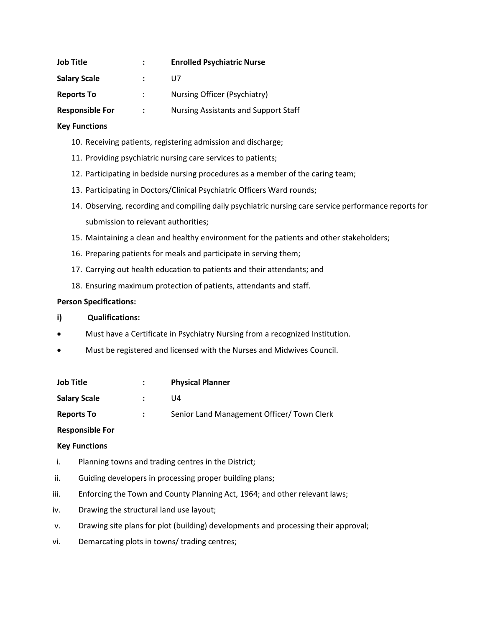| <b>Job Title</b>       |                   | <b>Enrolled Psychiatric Nurse</b>           |
|------------------------|-------------------|---------------------------------------------|
| <b>Salary Scale</b>    |                   | U7                                          |
| <b>Reports To</b>      |                   | Nursing Officer (Psychiatry)                |
| <b>Responsible For</b> | $\sim$ 100 $\sim$ | <b>Nursing Assistants and Support Staff</b> |

# **Key Functions**

- 10. Receiving patients, registering admission and discharge;
- 11. Providing psychiatric nursing care services to patients;
- 12. Participating in bedside nursing procedures as a member of the caring team;
- 13. Participating in Doctors/Clinical Psychiatric Officers Ward rounds;
- 14. Observing, recording and compiling daily psychiatric nursing care service performance reports for submission to relevant authorities;
- 15. Maintaining a clean and healthy environment for the patients and other stakeholders;
- 16. Preparing patients for meals and participate in serving them;
- 17. Carrying out health education to patients and their attendants; and
- 18. Ensuring maximum protection of patients, attendants and staff.

### **Person Specifications:**

- **i) Qualifications:**
- Must have a Certificate in Psychiatry Nursing from a recognized Institution.
- Must be registered and licensed with the Nurses and Midwives Council.

| Job Title           | <b>Physical Planner</b>                    |
|---------------------|--------------------------------------------|
| <b>Salary Scale</b> | l J4                                       |
| <b>Reports To</b>   | Senior Land Management Officer/ Town Clerk |

# **Responsible For**

- i. Planning towns and trading centres in the District;
- ii. Guiding developers in processing proper building plans;
- iii. Enforcing the Town and County Planning Act, 1964; and other relevant laws;
- iv. Drawing the structural land use layout;
- v. Drawing site plans for plot (building) developments and processing their approval;
- vi. Demarcating plots in towns/ trading centres;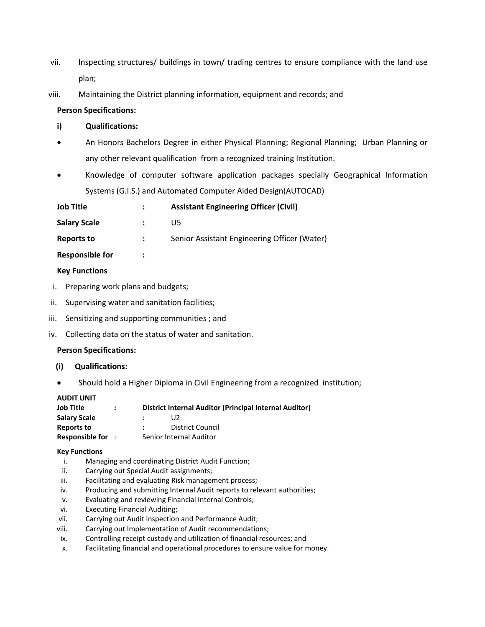- vii. Inspecting structures/ buildings in town/ trading centres to ensure compliance with the land use plan;
- viii. Maintaining the District planning information, equipment and records; and

## **Person Specifications:**

## **i) Qualifications:**

- An Honors Bachelors Degree in either Physical Planning; Regional Planning; Urban Planning or any other relevant qualification from a recognized training Institution.
- Knowledge of computer software application packages specially Geographical Information Systems (G.I.S.) and Automated Computer Aided Design(AUTOCAD)

| <b>Job Title</b>       |                | <b>Assistant Engineering Officer (Civil)</b> |
|------------------------|----------------|----------------------------------------------|
| <b>Salary Scale</b>    |                | U5.                                          |
| Reports to             | $\ddot{\cdot}$ | Senior Assistant Engineering Officer (Water) |
| <b>Responsible for</b> | ፡              |                                              |
|                        |                |                                              |

# **Key Functions**

- i. Preparing work plans and budgets;
- ii. Supervising water and sanitation facilities;
- iii. Sensitizing and supporting communities ; and
- iv. Collecting data on the status of water and sanitation.

### **Person Specifications:**

- **(i) Qualifications:**
- Should hold a Higher Diploma in Civil Engineering from a recognized institution;

# **AUDIT UNIT**

| Job Title           | $\ddot{\phantom{a}}$ | District Internal Auditor (Principal Internal Auditor) |
|---------------------|----------------------|--------------------------------------------------------|
| <b>Salary Scale</b> |                      | U2                                                     |
| Reports to          |                      | <b>District Council</b>                                |
| Responsible for :   |                      | Senior Internal Auditor                                |

- i. Managing and coordinating District Audit Function;
- ii. Carrying out Special Audit assignments;
- iii. Facilitating and evaluating Risk management process;
- iv. Producing and submitting Internal Audit reports to relevant authorities;
- v. Evaluating and reviewing Financial Internal Controls;
- vi. Executing Financial Auditing;
- vii. Carrying out Audit inspection and Performance Audit;
- viii. Carrying out Implementation of Audit recommendations;
- ix. Controlling receipt custody and utilization of financial resources; and
- x. Facilitating financial and operational procedures to ensure value for money.